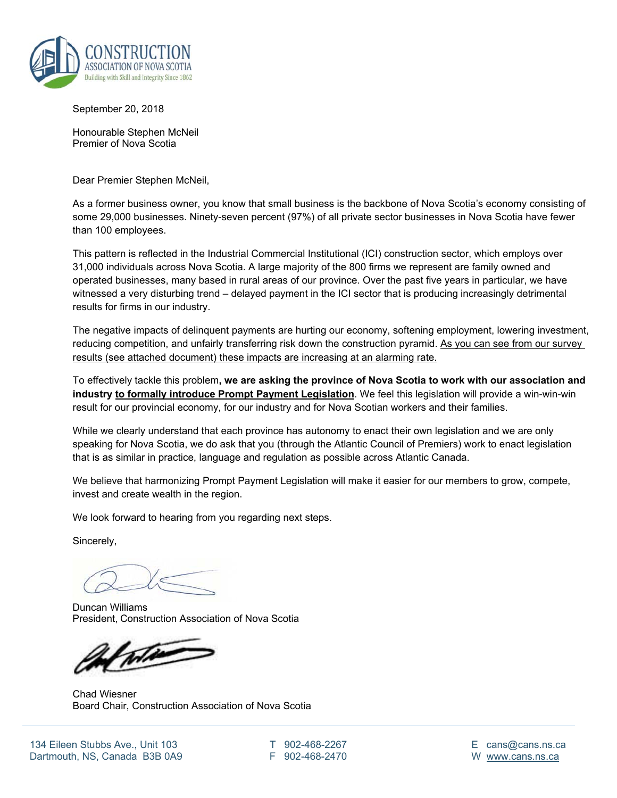

September 20, 2018

Honourable Stephen McNeil Premier of Nova Scotia

Dear Premier Stephen McNeil,

As a former business owner, you know that small business is the backbone of Nova Scotia's economy consisting of some 29,000 businesses. Ninety-seven percent (97%) of all private sector businesses in Nova Scotia have fewer than 100 employees.

This pattern is reflected in the Industrial Commercial Institutional (ICI) construction sector, which employs over 31,000 individuals across Nova Scotia. A large majority of the 800 firms we represent are family owned and operated businesses, many based in rural areas of our province. Over the past five years in particular, we have witnessed a very disturbing trend – delayed payment in the ICI sector that is producing increasingly detrimental results for firms in our industry.

The negative impacts of delinquent payments are hurting our economy, softening employment, lowering investment, reducing competition, and unfairly transferring risk down the construction pyramid. As you can see from our survey results (see attached document) these impacts are increasing at an alarming rate.

To effectively tackle this problem**, we are asking the province of Nova Scotia to work with our association and industry to formally introduce Prompt Payment Legislation**. We feel this legislation will provide a win-win-win result for our provincial economy, for our industry and for Nova Scotian workers and their families.

While we clearly understand that each province has autonomy to enact their own legislation and we are only speaking for Nova Scotia, we do ask that you (through the Atlantic Council of Premiers) work to enact legislation that is as similar in practice, language and regulation as possible across Atlantic Canada.

We believe that harmonizing Prompt Payment Legislation will make it easier for our members to grow, compete, invest and create wealth in the region.

We look forward to hearing from you regarding next steps.

Sincerely,

Duncan Williams President, Construction Association of Nova Scotia

When

Chad Wiesner Board Chair, Construction Association of Nova Scotia

T 902-468-2267 F 902-468-2470